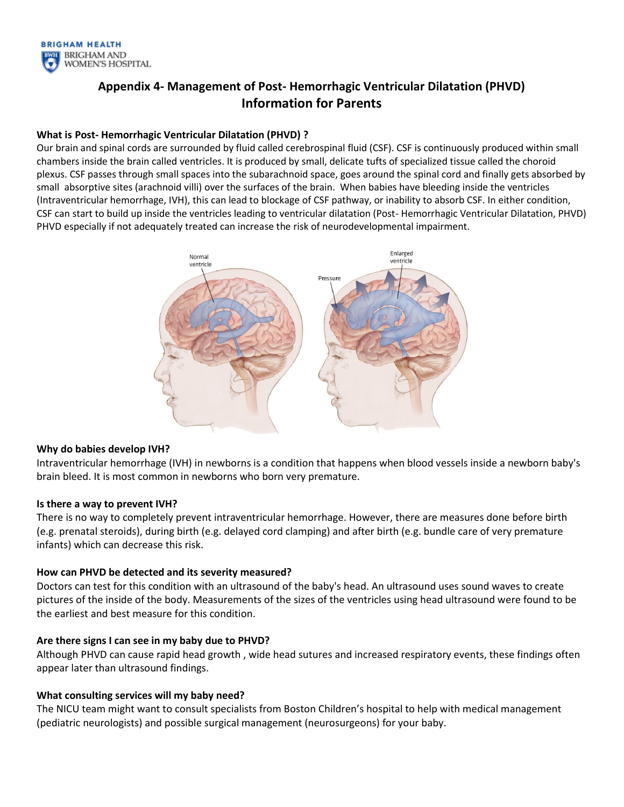

# **Appendix 4- Management of Post- Hemorrhagic Ventricular Dilatation (PHVD) Information for Parents**

## **What is Post- Hemorrhagic Ventricular Dilatation (PHVD) ?**

Our brain and spinal cords are surrounded by fluid called cerebrospinal fluid (CSF). CSF is continuously produced within small chambers inside the brain called ventricles. It is produced by small, delicate tufts of specialized tissue called the choroid plexus. CSF passes through small spaces into the subarachnoid space, goes around the spinal cord and finally gets absorbed by small absorptive sites (arachnoid villi) over the surfaces of the brain. When babies have bleeding inside the ventricles (Intraventricular hemorrhage, IVH), this can lead to blockage of CSF pathway, or inability to absorb CSF. In either condition, CSF can start to build up inside the ventricles leading to ventricular dilatation (Post- Hemorrhagic Ventricular Dilatation, PHVD) PHVD especially if not adequately treated can increase the risk of neurodevelopmental impairment.



#### **Why do babies develop IVH?**

Intraventricular hemorrhage (IVH) in newborns is a condition that happens when blood vessels inside a newborn baby's brain bleed. It is most common in newborns who born very premature.

#### **Is there a way to prevent IVH?**

There is no way to completely prevent intraventricular hemorrhage. However, there are measures done before birth (e.g. prenatal steroids), during birth (e.g. delayed cord clamping) and after birth (e.g. bundle care of very premature infants) which can decrease this risk.

## **How can PHVD be detected and its severity measured?**

Doctors can test for this condition with an ultrasound of the baby's head. An ultrasound uses sound waves to create pictures of the inside of the body. Measurements of the sizes of the ventricles using head ultrasound were found to be the earliest and best measure for this condition.

#### **Are there signs I can see in my baby due to PHVD?**

Although PHVD can cause rapid head growth , wide head sutures and increased respiratory events, these findings often appear later than ultrasound findings.

## **What consulting services will my baby need?**

The NICU team might want to consult specialists from Boston Children's hospital to help with medical management (pediatric neurologists) and possible surgical management (neurosurgeons) for your baby.